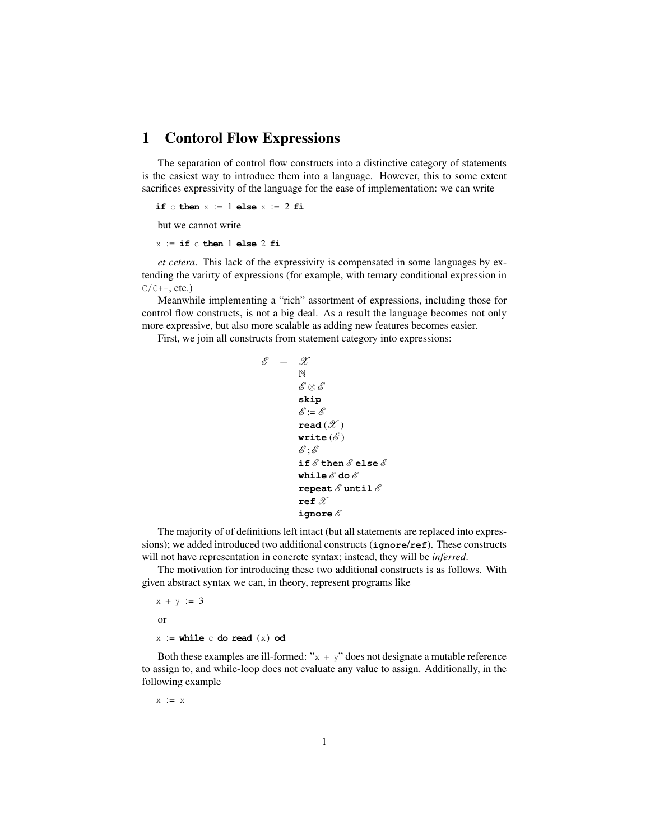## 1 Contorol Flow Expressions

The separation of control flow constructs into a distinctive category of statements is the easiest way to introduce them into a language. However, this to some extent sacrifices expressivity of the language for the ease of implementation: we can write

**if** c **then**  $x := 1$  **else**  $x := 2$  **fi** 

but we cannot write

 $x := if c then 1 else 2 fi$ 

*et cetera*. This lack of the expressivity is compensated in some languages by extending the varirty of expressions (for example, with ternary conditional expression in  $C/C++$ , etc.)

Meanwhile implementing a "rich" assortment of expressions, including those for control flow constructs, is not a big deal. As a result the language becomes not only more expressive, but also more scalable as adding new features becomes easier.

First, we join all constructs from statement category into expressions:

```
\mathscr{E} = \mathscr{X}N
       \mathscr{E}\otimes\mathscr{E}skip
       \mathscr{E} = \mathscr{E}\texttt{read}(\mathscr{X})write (\mathscr{E})\mathscr{E}; \mathscr{E}if \mathscr E then \mathscr E else \mathscr Ewhile \mathscr E do \mathscr E\mathbf{repeat} \& \mathbf{until} \& \mathbf{if}ref\mathscr Xignore\mathscr E
```
The majority of of definitions left intact (but all statements are replaced into expressions); we added introduced two additional constructs (**ignore**/**ref**). These constructs will not have representation in concrete syntax; instead, they will be *inferred*.

The motivation for introducing these two additional constructs is as follows. With given abstract syntax we can, in theory, represent programs like

 $x + y := 3$ or  $x :=$  while  $\in$  **do read**  $(x)$  **od** 

Both these examples are ill-formed: " $x + y$ " does not designate a mutable reference to assign to, and while-loop does not evaluate any value to assign. Additionally, in the following example

 $x := x$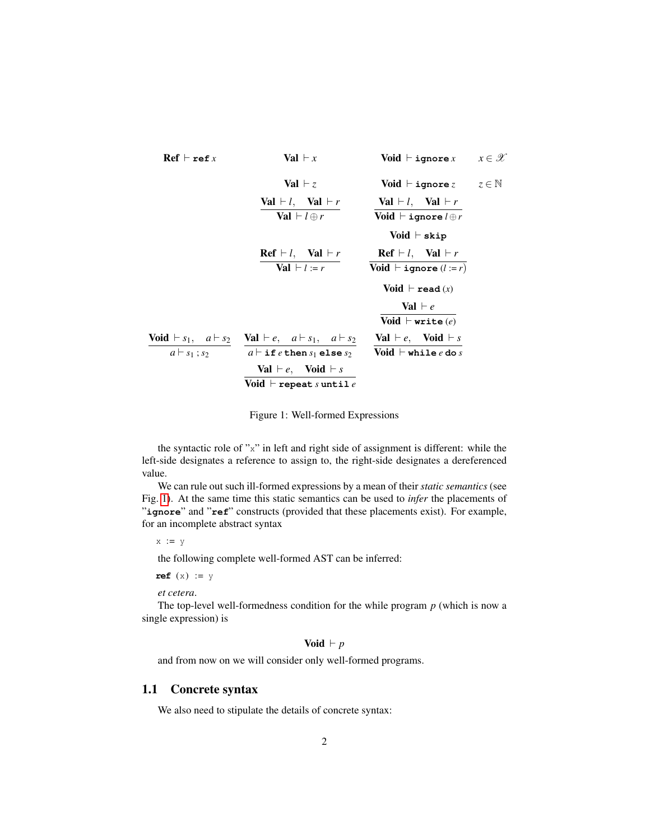<span id="page-1-0"></span>

| Ref $\vdash$ ref $x$                             | Val $\vdash x$                   | void $\vdash$ ignore $x$ | $x \in \mathcal{X}$ |
|--------------------------------------------------|----------------------------------|--------------------------|---------------------|
| Val $\vdash l$ , Val $\vdash r$                  | Val $\vdash l$ , Val $\vdash r$  |                          |                     |
| Val $\vdash l$ , Val $\vdash l$ , Val $\vdash r$ |                                  |                          |                     |
| Val $\vdash l$ ignore $l \oplus r$               |                                  |                          |                     |
| Volid $\vdash$ signore $l \oplus r$              |                                  |                          |                     |
| Volid $\vdash$ skip                              |                                  |                          |                     |
| Ref $\vdash l$ , Val $\vdash r$                  | Teff $\vdash l$ , Val $\vdash r$ |                          |                     |
| Volid $\vdash$ signore $(l := r)$                |                                  |                          |                     |
| Volid $\vdash$ read $(x)$                        |                                  |                          |                     |
| Volid $\vdash$ read $(x)$                        |                                  |                          |                     |
| Volid $\vdash$ write $(e)$                       |                                  |                          |                     |
| Volid $\vdash$ write $(e)$                       |                                  |                          |                     |
| Volid $\vdash$ write $(e)$                       |                                  |                          |                     |
| Volid $\vdash$ write $(e)$                       |                                  |                          |                     |
| Val $\vdash e$ , Id $\vdash e$ , Id $\vdash s$   |                                  |                          |                     |
| Val $\vdash e$ , Void $\vdash s$                 |                                  |                          |                     |
| Volid $\vdash$ while $e$ do $s$                  |                                  |                          |                     |
| Val $\vdash e$ , Void $\vdash s$                 |                                  |                          |                     |
| Volid $\vdash$ write $e$                         |                                  |                          |                     |

Figure 1: Well-formed Expressions

the syntactic role of "x" in left and right side of assignment is different: while the left-side designates a reference to assign to, the right-side designates a dereferenced value.

We can rule out such ill-formed expressions by a mean of their *static semantics* (see Fig. [1\)](#page-1-0). At the same time this static semantics can be used to *infer* the placements of "**ignore**" and "**ref**" constructs (provided that these placements exist). For example, for an incomplete abstract syntax

 $x := y$ 

the following complete well-formed AST can be inferred:

 $ref(x) := y$ 

*et cetera*.

The top-level well-formedness condition for the while program *p* (which is now a single expression) is

Void  $\vdash p$ 

and from now on we will consider only well-formed programs.

## 1.1 Concrete syntax

We also need to stipulate the details of concrete syntax: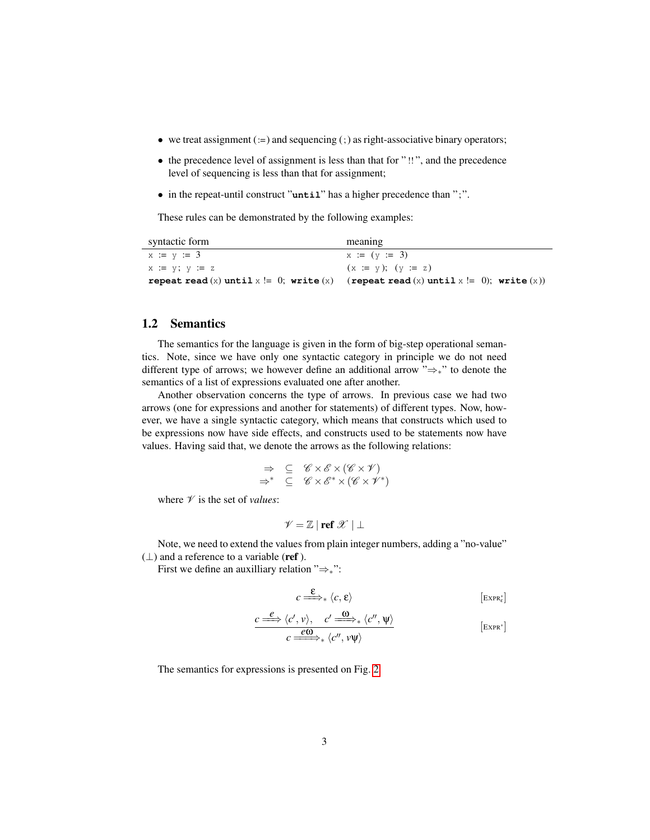- we treat assignment  $(:=)$  and sequencing  $(:)$  as right-associative binary operators;
- the precedence level of assignment is less than that for " !! ", and the precedence level of sequencing is less than that for assignment;
- in the repeat-until construct "**until**" has a higher precedence than ";".

These rules can be demonstrated by the following examples:

| syntactic form      | meaning                                                                            |
|---------------------|------------------------------------------------------------------------------------|
| $x := y := 3$       | $x := (y := 3)$                                                                    |
| $x := y$ ; $y := z$ | $(x := y); (y := z)$                                                               |
|                     | repeat read (x) until x != 0; write (x) (repeat read (x) until x != 0); write (x)) |

## 1.2 Semantics

The semantics for the language is given in the form of big-step operational semantics. Note, since we have only one syntactic category in principle we do not need different type of arrows; we however define an additional arrow "⇒∗" to denote the semantics of a list of expressions evaluated one after another.

Another observation concerns the type of arrows. In previous case we had two arrows (one for expressions and another for statements) of different types. Now, however, we have a single syntactic category, which means that constructs which used to be expressions now have side effects, and constructs used to be statements now have values. Having said that, we denote the arrows as the following relations:

$$
\Rightarrow \subseteq \mathscr{C} \times \mathscr{E} \times (\mathscr{C} \times \mathscr{V})
$$
  

$$
\Rightarrow^* \subseteq \mathscr{C} \times \mathscr{E}^* \times (\mathscr{C} \times \mathscr{V}^*)
$$

where  $\mathcal V$  is the set of *values*:

$$
\mathscr{V} = \mathbb{Z} \mid \text{ref } \mathscr{X} \mid \bot
$$

Note, we need to extend the values from plain integer numbers, adding a "no-value"  $(\perp)$  and a reference to a variable (ref).

First we define an auxilliary relation "⇒∗":

$$
c \stackrel{\mathbf{E}}{\Longrightarrow}_{*} \langle c, \mathbf{E} \rangle \qquad \qquad \text{[ExpR}_{\varepsilon}^*]
$$

$$
\frac{c \xrightarrow{e} \langle c', v \rangle, \quad c' \xrightarrow{\omega} \langle c'', \psi \rangle}{c \xrightarrow{e \omega} \langle c'', v \psi \rangle}
$$
 [Expr\*]

The semantics for expressions is presented on Fig. [2.](#page-3-0)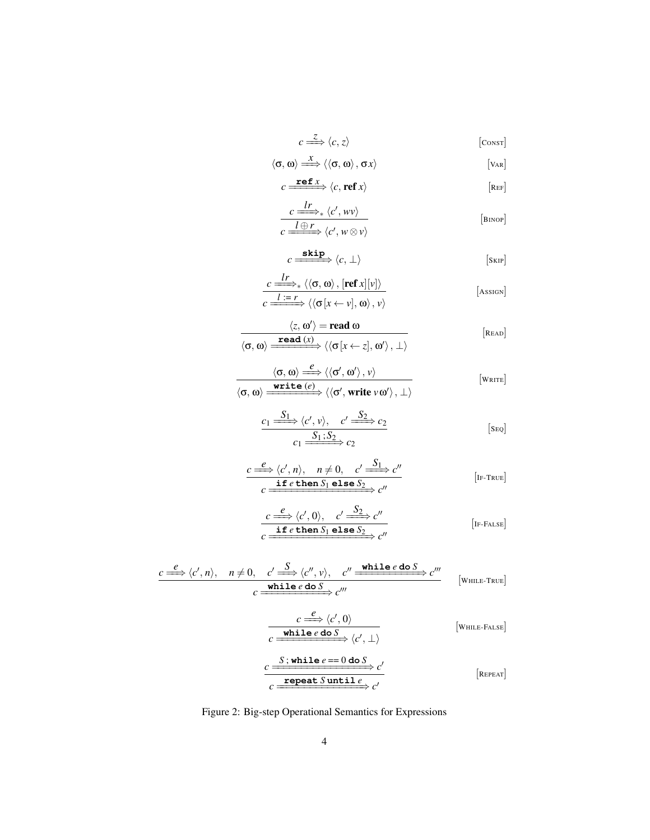$$
c \stackrel{Z}{\Longrightarrow} \langle c, z \rangle \qquad \qquad \text{[consr]}
$$

$$
\langle \sigma, \omega \rangle \stackrel{x}{\Longrightarrow} \langle \langle \sigma, \omega \rangle, \sigma x \rangle \qquad [Var]
$$

<span id="page-3-0"></span>
$$
c \xrightarrow{\mathbf{ref}\,x} \langle c, \mathbf{ref}\,x \rangle
$$
\n[REF]

$$
\frac{c \xrightarrow{lr} \langle c', wv \rangle}{c \xrightarrow{l \oplus r} \langle c', w \otimes v \rangle}
$$
 [BinoP]

$$
c \xrightarrow{\text{skip}} \langle c, \perp \rangle
$$
 [sur]

$$
\frac{c \xrightarrow{tr}}{c \xrightarrow{1; r} \langle \langle \sigma, \omega \rangle, [\text{ref } x][v] \rangle} \qquad [\text{Assson}]
$$
\n
$$
\overline{c \xrightarrow{1; r} \langle \langle \sigma[x \leftarrow v], \omega \rangle, v \rangle} \qquad [\text{Assson}]
$$

$$
\frac{\langle z, \omega' \rangle = \text{read } \omega}{\langle \sigma, \omega \rangle \xrightarrow{\text{read } (x)} \langle \langle \sigma[x \leftarrow z], \omega' \rangle, \bot \rangle} \qquad [\text{Real}]
$$

$$
\dfrac{\langle \sigma, \omega \rangle \stackrel{\ell}{\Longrightarrow} \langle \langle \sigma', \omega' \rangle, \nu \rangle}{\langle \sigma, \omega \rangle \xrightarrow{\text{write } (e)} \langle \langle \sigma', \text{write } \nu \omega' \rangle, \bot \rangle} \qquad \qquad [\text{write}]
$$

$$
\frac{c_1 \xrightarrow{S_1} \langle c', v \rangle, \quad c' \xrightarrow{S_2} c_2}{c_1 \xrightarrow{S_1 : S_2} c_2} \qquad [seq]
$$

$$
c_1 \xrightarrow{e} c_2
$$
\n
$$
c \xrightarrow{e} \langle c', n \rangle, \quad n \neq 0, \quad c' \xrightarrow{S_1} c''
$$
\n
$$
c \xrightarrow{\text{if } e \text{ then } S_1 \text{ else } S_2} c''
$$
\n[IF-TRUE]

$$
c \xrightarrow{e} \langle c', 0 \rangle, \quad c' \xrightarrow{S_2} c''
$$
  

$$
c \xrightarrow{\text{if } e \text{ then } S_1 \text{ else } S_2} c''
$$
  
[IF-FALSE]

$$
\frac{c \stackrel{e}{\Longrightarrow} \langle c', n \rangle, \quad n \neq 0, \quad c' \stackrel{S}{\Longrightarrow} \langle c'', v \rangle, \quad c'' \stackrel{\text{while } e \text{ do } S}{\Longrightarrow} c'''}{c \stackrel{\text{while } e \text{ do } S}{\Longrightarrow} c'''} \qquad \text{[While-True]}
$$

$$
c \xrightarrow{e} \langle c', 0 \rangle
$$
  
\n
$$
c \xrightarrow{\text{while } e \text{ do } S} \langle c', \perp \rangle
$$
  
\n
$$
\xrightarrow{c} \xrightarrow{S; \text{while } e \text{ == 0 do } S} c'
$$
  
\n
$$
\xrightarrow{c \text{repeat} S \text{ until } e} c'
$$
  
\n[REPEAT]